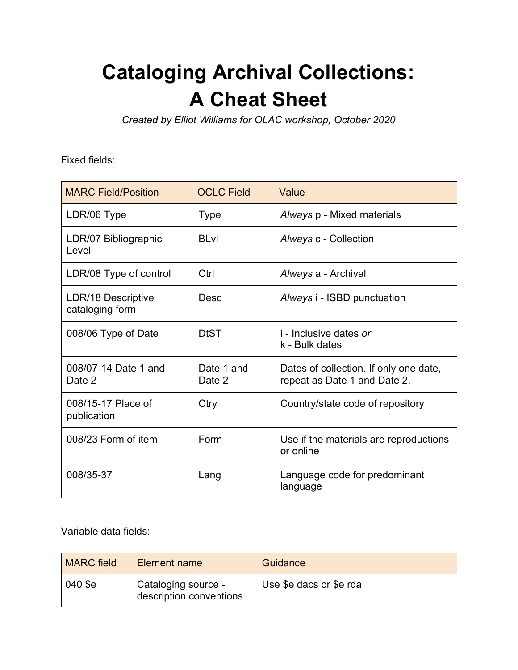## **Cataloging Archival Collections: A Cheat Sheet**

*Created by Elliot Williams for OLAC workshop, October 2020*

Fixed fields:

| <b>MARC Field/Position</b>            | <b>OCLC Field</b>    | Value                                                                  |
|---------------------------------------|----------------------|------------------------------------------------------------------------|
| LDR/06 Type                           | <b>Type</b>          | Always p - Mixed materials                                             |
| LDR/07 Bibliographic<br>I evel        | <b>BLvl</b>          | Always c - Collection                                                  |
| LDR/08 Type of control                | Ctrl                 | Always a - Archival                                                    |
| LDR/18 Descriptive<br>cataloging form | <b>Desc</b>          | Always i - ISBD punctuation                                            |
| 008/06 Type of Date                   | <b>DtST</b>          | <i>i</i> - Inclusive dates or<br>k - Bulk dates                        |
| 008/07-14 Date 1 and<br>Date 2        | Date 1 and<br>Date 2 | Dates of collection. If only one date,<br>repeat as Date 1 and Date 2. |
| 008/15-17 Place of<br>publication     | Ctry                 | Country/state code of repository                                       |
| 008/23 Form of item                   | Form                 | Use if the materials are reproductions<br>or online                    |
| 008/35-37                             | Lang                 | Language code for predominant<br>language                              |

Variable data fields:

| <b>MARC</b> field | Element name                                   | Guidance                |
|-------------------|------------------------------------------------|-------------------------|
| 040 \$e           | Cataloging source -<br>description conventions | Use \$e dacs or \$e rda |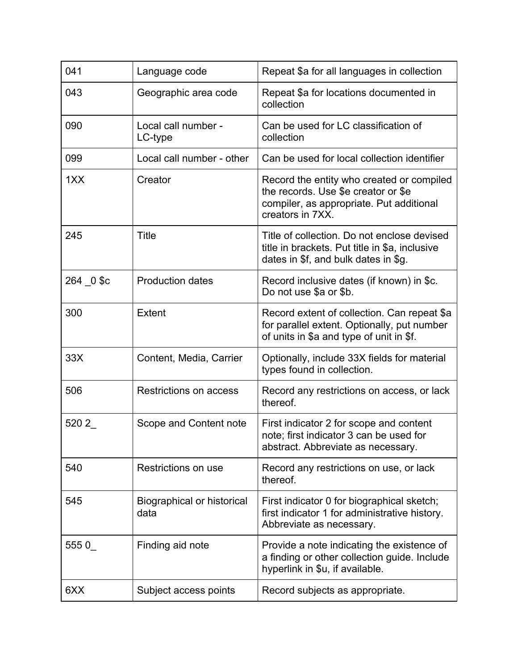| 041       | Language code                             | Repeat \$a for all languages in collection                                                                                                       |
|-----------|-------------------------------------------|--------------------------------------------------------------------------------------------------------------------------------------------------|
| 043       | Geographic area code                      | Repeat \$a for locations documented in<br>collection                                                                                             |
| 090       | Local call number -<br>LC-type            | Can be used for LC classification of<br>collection                                                                                               |
| 099       | Local call number - other                 | Can be used for local collection identifier                                                                                                      |
| 1XX       | Creator                                   | Record the entity who created or compiled<br>the records. Use \$e creator or \$e<br>compiler, as appropriate. Put additional<br>creators in 7XX. |
| 245       | <b>Title</b>                              | Title of collection. Do not enclose devised<br>title in brackets. Put title in \$a, inclusive<br>dates in \$f, and bulk dates in \$g.            |
| 264 0 \$c | <b>Production dates</b>                   | Record inclusive dates (if known) in \$c.<br>Do not use \$a or \$b.                                                                              |
| 300       | <b>Extent</b>                             | Record extent of collection. Can repeat \$a<br>for parallel extent. Optionally, put number<br>of units in \$a and type of unit in \$f.           |
| 33X       | Content, Media, Carrier                   | Optionally, include 33X fields for material<br>types found in collection.                                                                        |
| 506       | Restrictions on access                    | Record any restrictions on access, or lack<br>thereof.                                                                                           |
| 520 2     | Scope and Content note                    | First indicator 2 for scope and content<br>note; first indicator 3 can be used for<br>abstract. Abbreviate as necessary.                         |
| 540       | Restrictions on use                       | Record any restrictions on use, or lack<br>thereof.                                                                                              |
| 545       | <b>Biographical or historical</b><br>data | First indicator 0 for biographical sketch;<br>first indicator 1 for administrative history.<br>Abbreviate as necessary.                          |
| 5550      | Finding aid note                          | Provide a note indicating the existence of<br>a finding or other collection guide. Include<br>hyperlink in \$u, if available.                    |
| 6XX       | Subject access points                     | Record subjects as appropriate.                                                                                                                  |